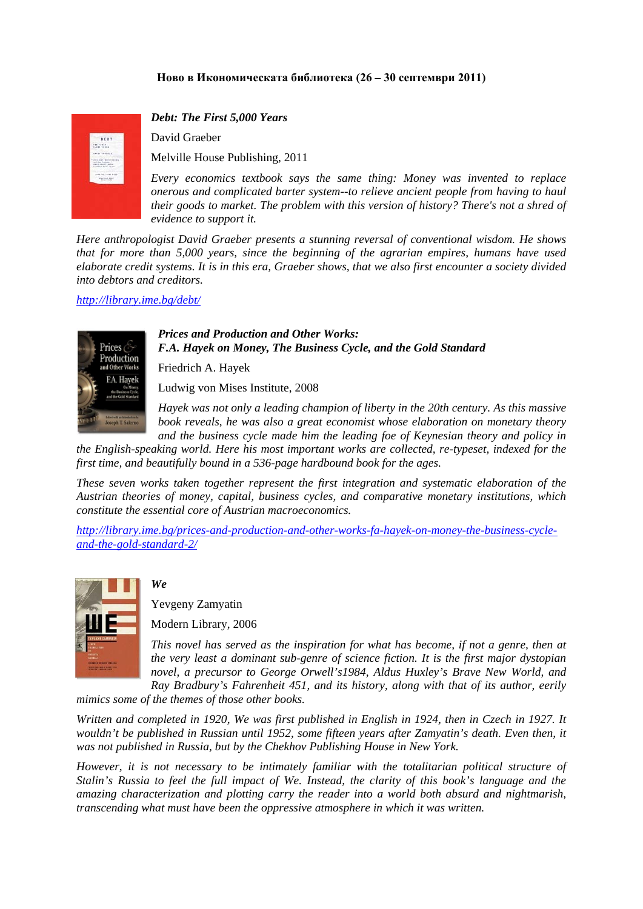## **Ново в Икономическата библиотека (26 – 30 септември 2011)**



*Debt: The First 5,000 Years* 

David Graeber

Melville House Publishing, 2011

*Every economics textbook says the same thing: Money was invented to replace onerous and complicated barter system--to relieve ancient people from having to haul their goods to market. The problem with this version of history? There's not a shred of evidence to support it.* 

*Here anthropologist David Graeber presents a stunning reversal of conventional wisdom. He shows that for more than 5,000 years, since the beginning of the agrarian empires, humans have used elaborate credit systems. It is in this era, Graeber shows, that we also first encounter a society divided into debtors and creditors.* 

#### *<http://library.ime.bg/debt/>*



### *Prices and Production and Other Works: F.A. Hayek on Money, The Business Cycle, and the Gold Standard*

Friedrich A. Hayek

Ludwig von Mises Institute, 2008

*Hayek was not only a leading champion of liberty in the 20th century. As this massive book reveals, he was also a great economist whose elaboration on monetary theory and the business cycle made him the leading foe of Keynesian theory and policy in* 

*the English-speaking world. Here his most important works are collected, re-typeset, indexed for the first time, and beautifully bound in a 536-page hardbound book for the ages.* 

*These seven works taken together represent the first integration and systematic elaboration of the Austrian theories of money, capital, business cycles, and comparative monetary institutions, which constitute the essential core of Austrian macroeconomics.* 

*[http://library.ime.bg/prices-and-production-and-other-works-fa-hayek-on-money-the-business-cycle](http://library.ime.bg/prices-and-production-and-other-works-fa-hayek-on-money-the-business-cycle-and-the-gold-standard-2/)[and-the-gold-standard-2/](http://library.ime.bg/prices-and-production-and-other-works-fa-hayek-on-money-the-business-cycle-and-the-gold-standard-2/)*



## *We*

Yevgeny Zamyatin

Modern Library, 2006

*This novel has served as the inspiration for what has become, if not a genre, then at the very least a dominant sub-genre of science fiction. It is the first major dystopian novel, a precursor to George Orwell's1984, Aldus Huxley's Brave New World, and Ray Bradbury's Fahrenheit 451, and its history, along with that of its author, eerily* 

*mimics some of the themes of those other books.* 

*Written and completed in 1920, We was first published in English in 1924, then in Czech in 1927. It wouldn't be published in Russian until 1952, some fifteen years after Zamyatin's death. Even then, it was not published in Russia, but by the Chekhov Publishing House in New York.* 

*However, it is not necessary to be intimately familiar with the totalitarian political structure of Stalin's Russia to feel the full impact of We. Instead, the clarity of this book's language and the amazing characterization and plotting carry the reader into a world both absurd and nightmarish, transcending what must have been the oppressive atmosphere in which it was written.*